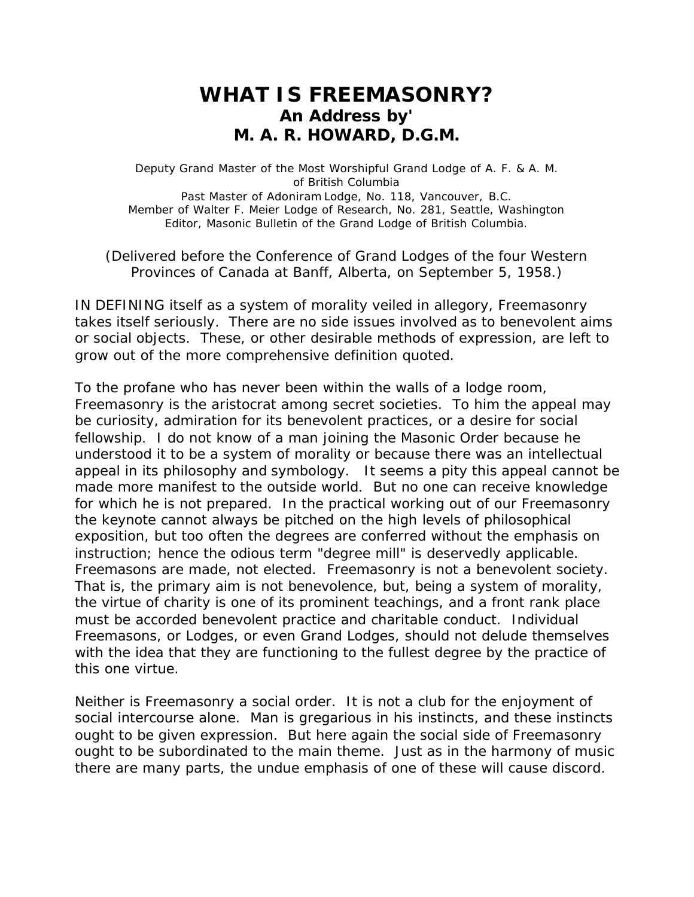## **WHAT IS FREEMASONRY? An Address by' M. A. R. HOWARD, D.G.M.**

Deputy Grand Master of the Most Worshipful Grand Lodge of A. F. & A. M. of British Columbia Past Master of Adoniram Lodge, No. 118, Vancouver, B.C. Member of Walter F. Meier Lodge of Research, No. 281, Seattle, Washington Editor, Masonic Bulletin of the Grand Lodge of British Columbia.

(Delivered before the Conference of Grand Lodges of the four Western Provinces of Canada at Banff, Alberta, on September 5, 1958.)

IN DEFINING itself as a system of morality veiled in allegory, Freemasonry takes itself seriously. There are no side issues involved as to benevolent aims or social objects. These, or other desirable methods of expression, are left to grow out of the more comprehensive definition quoted.

To the profane who has never been within the walls of a lodge room, Freemasonry is the aristocrat among secret societies. To him the appeal may be curiosity, admiration for its benevolent practices, or a desire for social fellowship. I do not know of a man joining the Masonic Order because he understood it to be a system of morality or because there was an intellectual appeal in its philosophy and symbology. It seems a pity this appeal cannot be made more manifest to the outside world. But no one can receive knowledge for which he is not prepared. In the practical working out of our Freemasonry the keynote cannot always be pitched on the high levels of philosophical exposition, but too often the degrees are conferred without the emphasis on instruction; hence the odious term "degree mill" is deservedly applicable. Freemasons are made, not elected. Freemasonry is not a benevolent society. That is, the primary aim is not benevolence, but, being a system of morality, the virtue of charity is one of its prominent teachings, and a front rank place must be accorded benevolent practice and charitable conduct. Individual Freemasons, or Lodges, or even Grand Lodges, should not delude themselves with the idea that they are functioning to the fullest degree by the practice of this one virtue.

Neither is Freemasonry a social order. It is not a club for the enjoyment of social intercourse alone. Man is gregarious in his instincts, and these instincts ought to be given expression. But here again the social side of Freemasonry ought to be subordinated to the main theme. Just as in the harmony of music there are many parts, the undue emphasis of one of these will cause discord.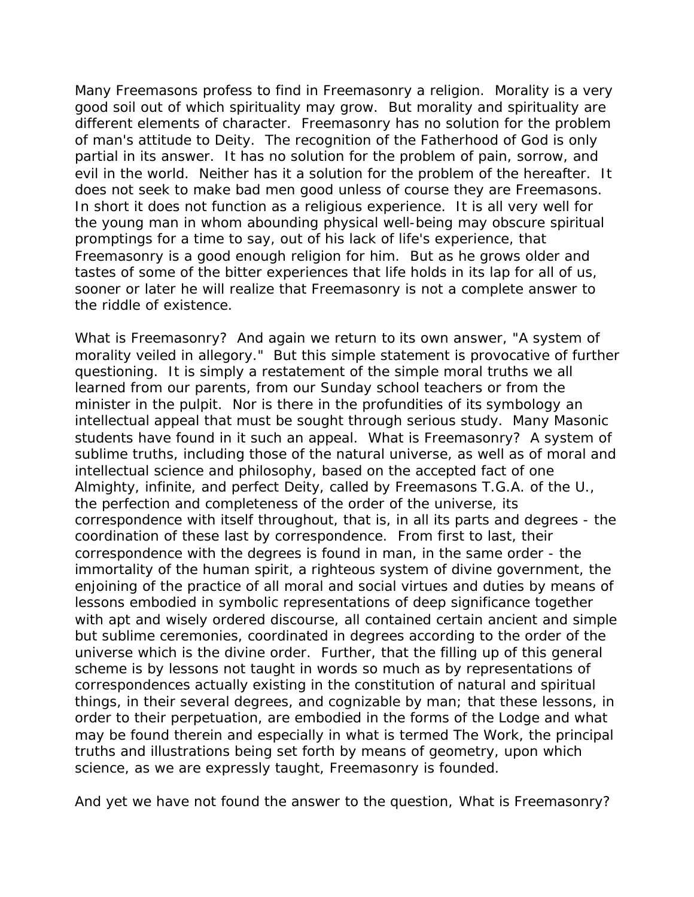Many Freemasons profess to find in Freemasonry a religion. Morality is a very good soil out of which spirituality may grow. But morality and spirituality are different elements of character. Freemasonry has no solution for the problem of man's attitude to Deity. The recognition of the Fatherhood of God is only partial in its answer. It has no solution for the problem of pain, sorrow, and evil in the world. Neither has it a solution for the problem of the hereafter. It does not seek to make bad men good unless of course they are Freemasons. In short it does not function as a religious experience. It is all very well for the young man in whom abounding physical well-being may obscure spiritual promptings for a time to say, out of his lack of life's experience, that Freemasonry is a good enough religion for him. But as he grows older and tastes of some of the bitter experiences that life holds in its lap for all of us, sooner or later he will realize that Freemasonry is not a complete answer to the riddle of existence.

What is Freemasonry? And again we return to its own answer, "A system of morality veiled in allegory." But this simple statement is provocative of further questioning. It is simply a restatement of the simple moral truths we all learned from our parents, from our Sunday school teachers or from the minister in the pulpit. Nor is there in the profundities of its symbology an intellectual appeal that must be sought through serious study. Many Masonic students have found in it such an appeal. What is Freemasonry? A system of sublime truths, including those of the natural universe, as well as of moral and intellectual science and philosophy, based on the accepted fact of one Almighty, infinite, and perfect Deity, called by Freemasons T.G.A. of the U., the perfection and completeness of the order of the universe, its correspondence with itself throughout, that is, in all its parts and degrees - the coordination of these last by correspondence. From first to last, their correspondence with the degrees is found in man, in the same order - the immortality of the human spirit, a righteous system of divine government, the enjoining of the practice of all moral and social virtues and duties by means of lessons embodied in symbolic representations of deep significance together with apt and wisely ordered discourse, all contained certain ancient and simple but sublime ceremonies, coordinated in degrees according to the order of the universe which is the divine order. Further, that the filling up of this general scheme is by lessons not taught in words so much as by representations of correspondences actually existing in the constitution of natural and spiritual things, in their several degrees, and cognizable by man; that these lessons, in order to their perpetuation, are embodied in the forms of the Lodge and what may be found therein and especially in what is termed The Work, the principal truths and illustrations being set forth by means of geometry, upon which science, as we are expressly taught, Freemasonry is founded.

And yet we have not found the answer to the question, *What is Freemasonry?*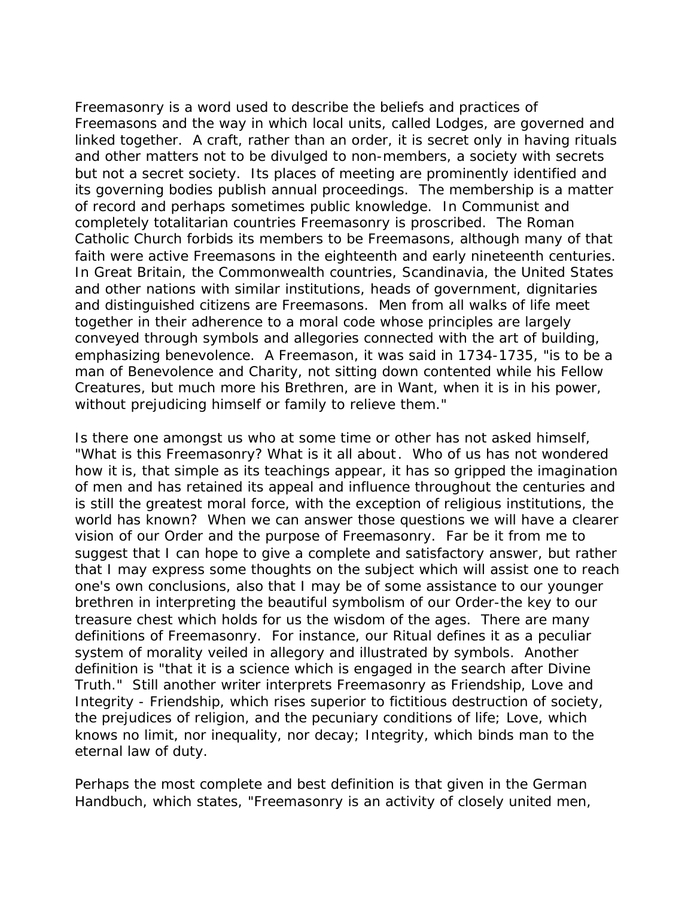Freemasonry is a word used to describe the beliefs and practices of Freemasons and the way in which local units, called Lodges, are governed and linked together. A craft, rather than an order, it is secret only in having rituals and other matters not to be divulged to non-members, a society with secrets but not a secret society. Its places of meeting are prominently identified and its governing bodies publish annual proceedings. The membership is a matter of record and perhaps sometimes public knowledge. In Communist and completely totalitarian countries Freemasonry is proscribed. The Roman Catholic Church forbids its members to be Freemasons, although many of that faith were active Freemasons in the eighteenth and early nineteenth centuries. In Great Britain, the Commonwealth countries, Scandinavia, the United States and other nations with similar institutions, heads of government, dignitaries and distinguished citizens are Freemasons. Men from all walks of life meet together in their adherence to a moral code whose principles are largely conveyed through symbols and allegories connected with the art of building, emphasizing benevolence. A Freemason, it was said in 1734-1735, "is to be a man of Benevolence and Charity, not sitting down contented while his Fellow Creatures, but much more his Brethren, are in Want, when it is in his power, without prejudicing himself or family to relieve them."

Is there one amongst us who at some time or other has not asked himself, "What is this Freemasonry? What is it all about. Who of us has not wondered how it is, that simple as its teachings appear, it has so gripped the imagination of men and has retained its appeal and influence throughout the centuries and is still the greatest moral force, with the exception of religious institutions, the world has known? When we can answer those questions we will have a clearer vision of our Order and the purpose of Freemasonry. Far be it from me to suggest that I can hope to give a complete and satisfactory answer, but rather that I may express some thoughts on the subject which will assist one to reach one's own conclusions, also that I may be of some assistance to our younger brethren in interpreting the beautiful symbolism of our Order-the key to our treasure chest which holds for us the wisdom of the ages. There are many definitions of Freemasonry. For instance, our Ritual defines it as a peculiar system of morality veiled in allegory and illustrated by symbols. Another definition is "that it is a science which is engaged in the search after Divine Truth." Still another writer interprets Freemasonry as Friendship, Love and Integrity - Friendship, which rises superior to fictitious destruction of society, the prejudices of religion, and the pecuniary conditions of life; Love, which knows no limit, nor inequality, nor decay; Integrity, which binds man to the eternal law of duty.

Perhaps the most complete and best definition is that given in the German Handbuch, which states, "Freemasonry is an activity of closely united men,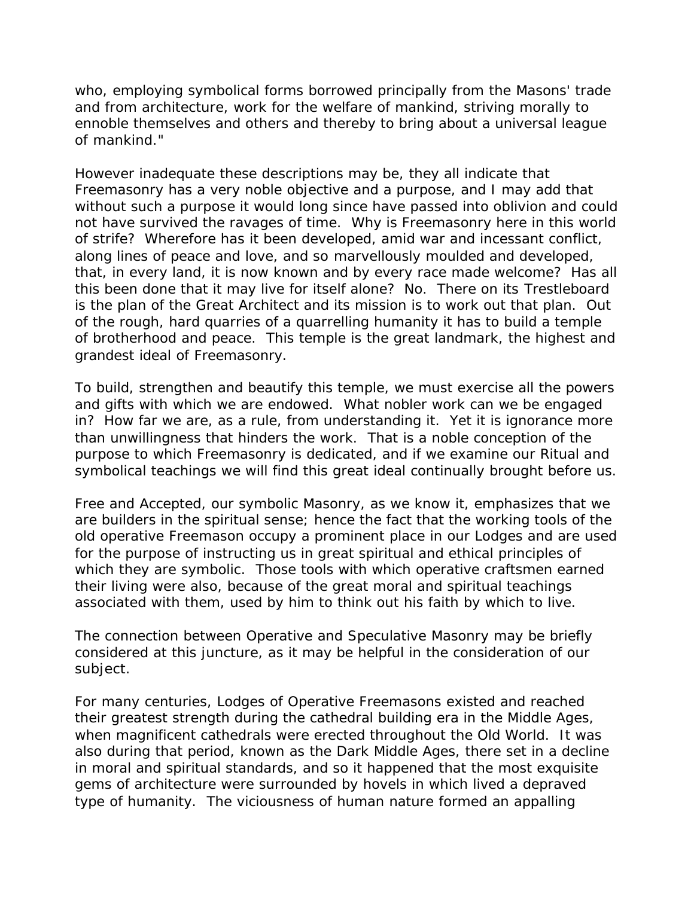who, employing symbolical forms borrowed principally from the Masons' trade and from architecture, work for the welfare of mankind, striving morally to ennoble themselves and others and thereby to bring about a universal league of mankind."

However inadequate these descriptions may be, they all indicate that Freemasonry has a very noble objective and a purpose, and I may add that without such a purpose it would long since have passed into oblivion and could not have survived the ravages of time. Why is Freemasonry here in this world of strife? Wherefore has it been developed, amid war and incessant conflict, along lines of peace and love, and so marvellously moulded and developed, that, in every land, it is now known and by every race made welcome? Has all this been done that it may live for itself alone? No. There on its Trestleboard is the plan of the Great Architect and its mission is to work out that plan. Out of the rough, hard quarries of a quarrelling humanity it has to build a temple of brotherhood and peace. This temple is the great landmark, the highest and grandest ideal of Freemasonry.

To build, strengthen and beautify this temple, we must exercise all the powers and gifts with which we are endowed. What nobler work can we be engaged in? How far we are, as a rule, from understanding it. Yet it is ignorance more than unwillingness that hinders the work. That is a noble conception of the purpose to which Freemasonry is dedicated, and if we examine our Ritual and symbolical teachings we will find this great ideal continually brought before us.

Free and Accepted, our symbolic Masonry, as we know it, emphasizes that we are builders in the spiritual sense; hence the fact that the working tools of the old operative Freemason occupy a prominent place in our Lodges and are used for the purpose of instructing us in great spiritual and ethical principles of which they are symbolic. Those tools with which operative craftsmen earned their living were also, because of the great moral and spiritual teachings associated with them, used by him to think out his faith by which to live.

The connection between Operative and Speculative Masonry may be briefly considered at this juncture, as it may be helpful in the consideration of our subject.

For many centuries, Lodges of Operative Freemasons existed and reached their greatest strength during the cathedral building era in the Middle Ages, when magnificent cathedrals were erected throughout the Old World. It was also during that period, known as the Dark Middle Ages, there set in a decline in moral and spiritual standards, and so it happened that the most exquisite gems of architecture were surrounded by hovels in which lived a depraved type of humanity. The viciousness of human nature formed an appalling